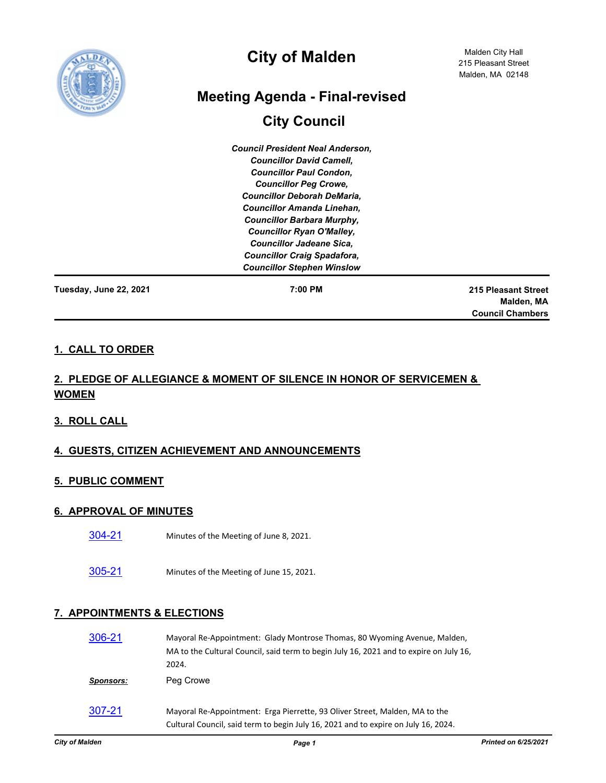

# **City of Malden**

# **Meeting Agenda - Final-revised**

# **City Council**

*Council President Neal Anderson, Councillor David Camell, Councillor Paul Condon, Councillor Peg Crowe, Councillor Deborah DeMaria, Councillor Amanda Linehan, Councillor Barbara Murphy, Councillor Ryan O'Malley, Councillor Jadeane Sica, Councillor Craig Spadafora, Councillor Stephen Winslow*

**Tuesday, June 22, 2021 7:00 PM**

**215 Pleasant Street Malden, MA Council Chambers**

### **1. CALL TO ORDER**

## **2. PLEDGE OF ALLEGIANCE & MOMENT OF SILENCE IN HONOR OF SERVICEMEN & WOMEN**

#### **3. ROLL CALL**

## **4. GUESTS, CITIZEN ACHIEVEMENT AND ANNOUNCEMENTS**

#### **5. PUBLIC COMMENT**

#### **6. APPROVAL OF MINUTES**

- [304-21](http://cityofmalden.legistar.com/gateway.aspx?m=l&id=/matter.aspx?key=6931) Minutes of the Meeting of June 8, 2021.
- [305-21](http://cityofmalden.legistar.com/gateway.aspx?m=l&id=/matter.aspx?key=6932) Minutes of the Meeting of June 15, 2021.

#### **7. APPOINTMENTS & ELECTIONS**

| 306-21    | Mayoral Re-Appointment: Glady Montrose Thomas, 80 Wyoming Avenue, Malden,<br>MA to the Cultural Council, said term to begin July 16, 2021 and to expire on July 16,<br>2024. |
|-----------|------------------------------------------------------------------------------------------------------------------------------------------------------------------------------|
| Sponsors: | Peg Crowe                                                                                                                                                                    |
| 307-21    | Mayoral Re-Appointment: Erga Pierrette, 93 Oliver Street, Malden, MA to the<br>Cultural Council, said term to begin July 16, 2021 and to expire on July 16, 2024.            |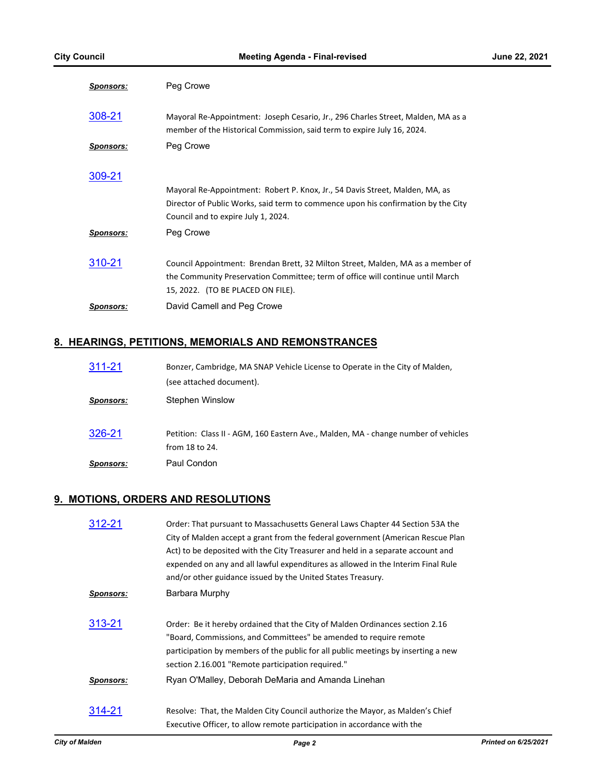| <u>Sponsors:</u> | Peg Crowe                                                                                                                                                                                                |
|------------------|----------------------------------------------------------------------------------------------------------------------------------------------------------------------------------------------------------|
| 308-21           | Mayoral Re-Appointment: Joseph Cesario, Jr., 296 Charles Street, Malden, MA as a<br>member of the Historical Commission, said term to expire July 16, 2024.                                              |
| <b>Sponsors:</b> | Peg Crowe                                                                                                                                                                                                |
| 309-21           | Mayoral Re-Appointment: Robert P. Knox, Jr., 54 Davis Street, Malden, MA, as<br>Director of Public Works, said term to commence upon his confirmation by the City<br>Council and to expire July 1, 2024. |
| <b>Sponsors:</b> | Peg Crowe                                                                                                                                                                                                |
| 310-21           | Council Appointment: Brendan Brett, 32 Milton Street, Malden, MA as a member of<br>the Community Preservation Committee; term of office will continue until March<br>15, 2022. (TO BE PLACED ON FILE).   |
| <b>Sponsors:</b> | David Camell and Peg Crowe                                                                                                                                                                               |

## **8. HEARINGS, PETITIONS, MEMORIALS AND REMONSTRANCES**

| 311-21           | Bonzer, Cambridge, MA SNAP Vehicle License to Operate in the City of Malden,                         |
|------------------|------------------------------------------------------------------------------------------------------|
|                  | (see attached document).                                                                             |
| <b>Sponsors:</b> | Stephen Winslow                                                                                      |
| 326-21           | Petition: Class II - AGM, 160 Eastern Ave., Malden, MA - change number of vehicles<br>from 18 to 24. |
| <b>Sponsors:</b> | Paul Condon                                                                                          |

#### **9. MOTIONS, ORDERS AND RESOLUTIONS**

| 312-21           | Order: That pursuant to Massachusetts General Laws Chapter 44 Section 53A the<br>City of Malden accept a grant from the federal government (American Rescue Plan<br>Act) to be deposited with the City Treasurer and held in a separate account and<br>expended on any and all lawful expenditures as allowed in the Interim Final Rule |
|------------------|-----------------------------------------------------------------------------------------------------------------------------------------------------------------------------------------------------------------------------------------------------------------------------------------------------------------------------------------|
|                  | and/or other guidance issued by the United States Treasury.                                                                                                                                                                                                                                                                             |
| <b>Sponsors:</b> | Barbara Murphy                                                                                                                                                                                                                                                                                                                          |
| 313-21           | Order: Be it hereby ordained that the City of Malden Ordinances section 2.16<br>"Board, Commissions, and Committees" be amended to require remote<br>participation by members of the public for all public meetings by inserting a new<br>section 2.16.001 "Remote participation required."                                             |
| <b>Sponsors:</b> | Ryan O'Malley, Deborah DeMaria and Amanda Linehan                                                                                                                                                                                                                                                                                       |
| 314-21           | Resolve: That, the Malden City Council authorize the Mayor, as Malden's Chief<br>Executive Officer, to allow remote participation in accordance with the                                                                                                                                                                                |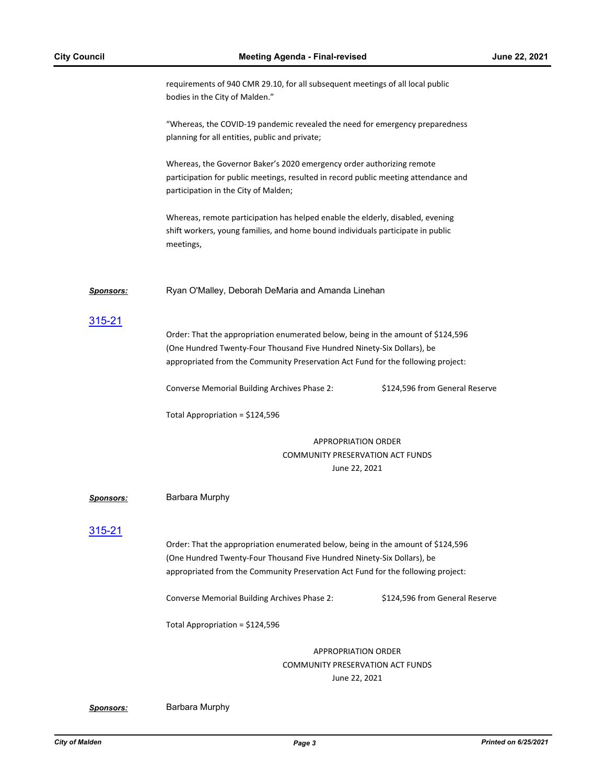|                  | requirements of 940 CMR 29.10, for all subsequent meetings of all local public<br>bodies in the City of Malden."                                                                                                                               |                                |
|------------------|------------------------------------------------------------------------------------------------------------------------------------------------------------------------------------------------------------------------------------------------|--------------------------------|
|                  | "Whereas, the COVID-19 pandemic revealed the need for emergency preparedness<br>planning for all entities, public and private;                                                                                                                 |                                |
|                  | Whereas, the Governor Baker's 2020 emergency order authorizing remote<br>participation for public meetings, resulted in record public meeting attendance and<br>participation in the City of Malden;                                           |                                |
|                  | Whereas, remote participation has helped enable the elderly, disabled, evening<br>shift workers, young families, and home bound individuals participate in public<br>meetings,                                                                 |                                |
| <b>Sponsors:</b> | Ryan O'Malley, Deborah DeMaria and Amanda Linehan                                                                                                                                                                                              |                                |
| <u>315-21</u>    | Order: That the appropriation enumerated below, being in the amount of \$124,596<br>(One Hundred Twenty-Four Thousand Five Hundred Ninety-Six Dollars), be<br>appropriated from the Community Preservation Act Fund for the following project: |                                |
|                  | Converse Memorial Building Archives Phase 2:                                                                                                                                                                                                   | \$124,596 from General Reserve |
|                  | Total Appropriation = \$124,596                                                                                                                                                                                                                |                                |
|                  | <b>APPROPRIATION ORDER</b>                                                                                                                                                                                                                     |                                |
|                  | <b>COMMUNITY PRESERVATION ACT FUNDS</b><br>June 22, 2021                                                                                                                                                                                       |                                |
| Sponsors:        | Barbara Murphy                                                                                                                                                                                                                                 |                                |
| 315-21           | Order: That the appropriation enumerated below, being in the amount of \$124,596<br>(One Hundred Twenty-Four Thousand Five Hundred Ninety-Six Dollars), be<br>appropriated from the Community Preservation Act Fund for the following project: |                                |
|                  | Converse Memorial Building Archives Phase 2:                                                                                                                                                                                                   | \$124,596 from General Reserve |
|                  | Total Appropriation = \$124,596                                                                                                                                                                                                                |                                |
|                  | <b>APPROPRIATION ORDER</b><br>COMMUNITY PRESERVATION ACT FUNDS<br>June 22, 2021                                                                                                                                                                |                                |

*Sponsors:* Barbara Murphy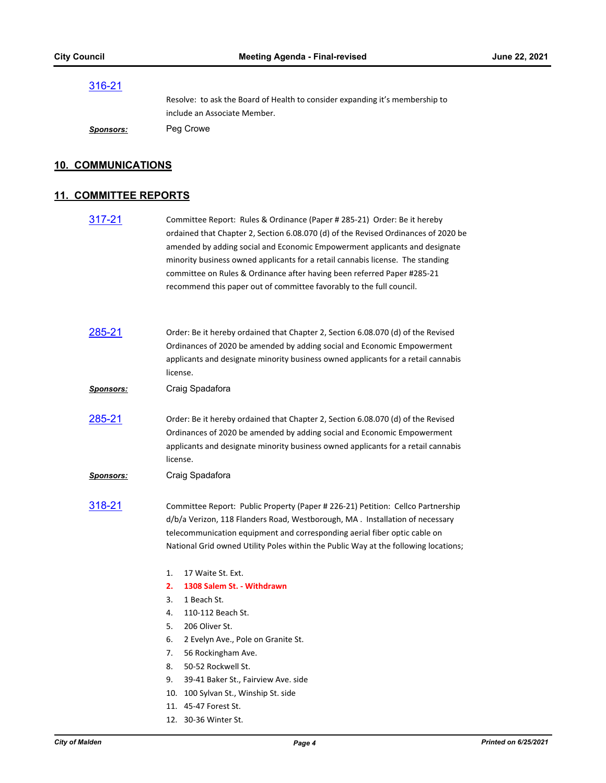#### [316-21](http://cityofmalden.legistar.com/gateway.aspx?m=l&id=/matter.aspx?key=6948)

Resolve: to ask the Board of Health to consider expanding it's membership to include an Associate Member.

*Sponsors:* Peg Crowe

#### **10. COMMUNICATIONS**

#### **11. COMMITTEE REPORTS**

[317-21](http://cityofmalden.legistar.com/gateway.aspx?m=l&id=/matter.aspx?key=6928) Committee Report: Rules & Ordinance (Paper # 285-21) Order: Be it hereby ordained that Chapter 2, Section 6.08.070 (d) of the Revised Ordinances of 2020 be amended by adding social and Economic Empowerment applicants and designate minority business owned applicants for a retail cannabis license. The standing committee on Rules & Ordinance after having been referred Paper #285-21 recommend this paper out of committee favorably to the full council.

| 285-21           | Order: Be it hereby ordained that Chapter 2, Section 6.08.070 (d) of the Revised<br>Ordinances of 2020 be amended by adding social and Economic Empowerment<br>applicants and designate minority business owned applicants for a retail cannabis<br>license.                                                                                                                    |
|------------------|---------------------------------------------------------------------------------------------------------------------------------------------------------------------------------------------------------------------------------------------------------------------------------------------------------------------------------------------------------------------------------|
| <b>Sponsors:</b> | Craig Spadafora                                                                                                                                                                                                                                                                                                                                                                 |
| <u>285-21</u>    | Order: Be it hereby ordained that Chapter 2, Section 6.08.070 (d) of the Revised<br>Ordinances of 2020 be amended by adding social and Economic Empowerment<br>applicants and designate minority business owned applicants for a retail cannabis<br>license.                                                                                                                    |
| <u>Sponsors:</u> | Craig Spadafora                                                                                                                                                                                                                                                                                                                                                                 |
| <u>318-21</u>    | Committee Report: Public Property (Paper #226-21) Petition: Cellco Partnership<br>d/b/a Verizon, 118 Flanders Road, Westborough, MA . Installation of necessary<br>telecommunication equipment and corresponding aerial fiber optic cable on<br>National Grid owned Utility Poles within the Public Way at the following locations;                                             |
|                  | 1.<br>17 Waite St. Ext.<br>1308 Salem St. - Withdrawn<br>2.<br>1 Beach St.<br>3.<br>110-112 Beach St.<br>4.<br>206 Oliver St.<br>5.<br>6.<br>2 Evelyn Ave., Pole on Granite St.<br>7.<br>56 Rockingham Ave.<br>50-52 Rockwell St.<br>8.<br>9.<br>39-41 Baker St., Fairview Ave. side<br>10.<br>100 Sylvan St., Winship St. side<br>11. 45-47 Forest St.<br>12. 30-36 Winter St. |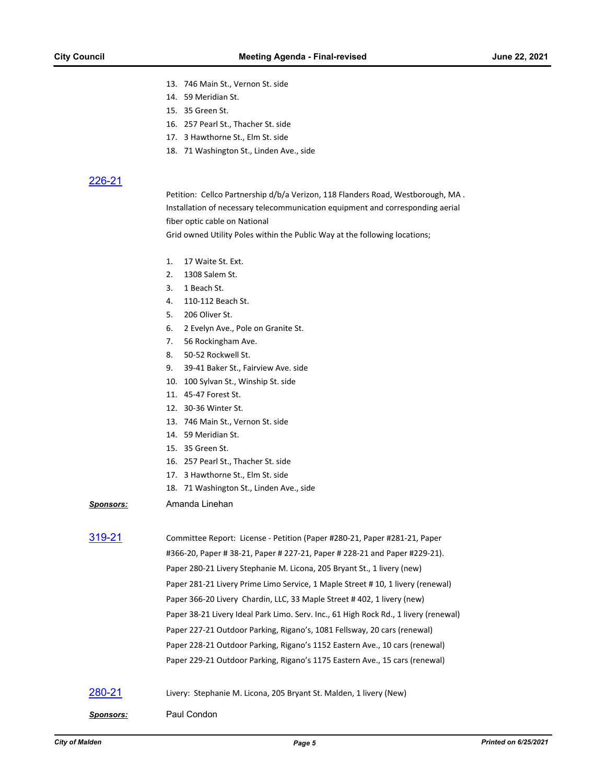- 13. 746 Main St., Vernon St. side
- 14. 59 Meridian St.
- 15. 35 Green St.
- 16. 257 Pearl St., Thacher St. side
- 17. 3 Hawthorne St., Elm St. side
- 18. 71 Washington St., Linden Ave., side

#### 226-2

| 226-21           |                                                                                      |
|------------------|--------------------------------------------------------------------------------------|
|                  | Petition: Cellco Partnership d/b/a Verizon, 118 Flanders Road, Westborough, MA.      |
|                  | Installation of necessary telecommunication equipment and corresponding aerial       |
|                  | fiber optic cable on National                                                        |
|                  | Grid owned Utility Poles within the Public Way at the following locations;           |
|                  | 1.<br>17 Waite St. Ext.                                                              |
|                  | 2.<br>1308 Salem St.                                                                 |
|                  | 1 Beach St.<br>3.                                                                    |
|                  | 110-112 Beach St.<br>4.                                                              |
|                  | 5.<br>206 Oliver St.                                                                 |
|                  | 6.<br>2 Evelyn Ave., Pole on Granite St.                                             |
|                  | 7.<br>56 Rockingham Ave.                                                             |
|                  | 8.<br>50-52 Rockwell St.                                                             |
|                  | 9.<br>39-41 Baker St., Fairview Ave. side                                            |
|                  | 10. 100 Sylvan St., Winship St. side                                                 |
|                  | 11. 45-47 Forest St.                                                                 |
|                  | 12. 30-36 Winter St.                                                                 |
|                  | 13. 746 Main St., Vernon St. side                                                    |
|                  | 14. 59 Meridian St.                                                                  |
|                  | 15. 35 Green St.                                                                     |
|                  | 16. 257 Pearl St., Thacher St. side                                                  |
|                  | 17. 3 Hawthorne St., Elm St. side                                                    |
|                  | 18. 71 Washington St., Linden Ave., side                                             |
| <u>Sponsors:</u> | Amanda Linehan                                                                       |
| 319-21           | Committee Report: License - Petition (Paper #280-21, Paper #281-21, Paper            |
|                  | #366-20, Paper # 38-21, Paper # 227-21, Paper # 228-21 and Paper #229-21).           |
|                  | Paper 280-21 Livery Stephanie M. Licona, 205 Bryant St., 1 livery (new)              |
|                  |                                                                                      |
|                  | Paper 281-21 Livery Prime Limo Service, 1 Maple Street #10, 1 livery (renewal)       |
|                  | Paper 366-20 Livery Chardin, LLC, 33 Maple Street #402, 1 livery (new)               |
|                  | Paper 38-21 Livery Ideal Park Limo. Serv. Inc., 61 High Rock Rd., 1 livery (renewal) |
|                  | Paper 227-21 Outdoor Parking, Rigano's, 1081 Fellsway, 20 cars (renewal)             |
|                  | Paper 228-21 Outdoor Parking, Rigano's 1152 Eastern Ave., 10 cars (renewal)          |
|                  | Paper 229-21 Outdoor Parking, Rigano's 1175 Eastern Ave., 15 cars (renewal)          |
| 280-21           | Livery: Stephanie M. Licona, 205 Bryant St. Malden, 1 livery (New)                   |

*Sponsors:* Paul Condon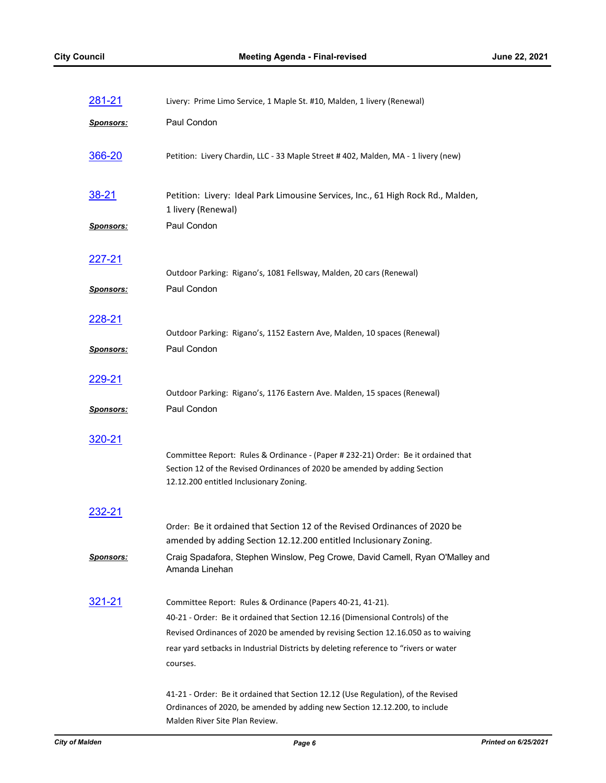| 281-21           | Livery: Prime Limo Service, 1 Maple St. #10, Malden, 1 livery (Renewal)                                                                                                                                  |
|------------------|----------------------------------------------------------------------------------------------------------------------------------------------------------------------------------------------------------|
| <b>Sponsors:</b> | Paul Condon                                                                                                                                                                                              |
| 366-20           | Petition: Livery Chardin, LLC - 33 Maple Street #402, Malden, MA - 1 livery (new)                                                                                                                        |
| <u>38-21</u>     | Petition: Livery: Ideal Park Limousine Services, Inc., 61 High Rock Rd., Malden,<br>1 livery (Renewal)                                                                                                   |
| Sponsors:        | Paul Condon                                                                                                                                                                                              |
| 227-21           | Outdoor Parking: Rigano's, 1081 Fellsway, Malden, 20 cars (Renewal)                                                                                                                                      |
| <u>Sponsors:</u> | Paul Condon                                                                                                                                                                                              |
| <u>228-21</u>    | Outdoor Parking: Rigano's, 1152 Eastern Ave, Malden, 10 spaces (Renewal)                                                                                                                                 |
| <u>Sponsors:</u> | Paul Condon                                                                                                                                                                                              |
| 229-21           | Outdoor Parking: Rigano's, 1176 Eastern Ave. Malden, 15 spaces (Renewal)                                                                                                                                 |
| <u>Sponsors:</u> | Paul Condon                                                                                                                                                                                              |
| 320-21           | Committee Report: Rules & Ordinance - (Paper #232-21) Order: Be it ordained that<br>Section 12 of the Revised Ordinances of 2020 be amended by adding Section<br>12.12.200 entitled Inclusionary Zoning. |
| 232-21           |                                                                                                                                                                                                          |
|                  | Order: Be it ordained that Section 12 of the Revised Ordinances of 2020 be<br>amended by adding Section 12.12.200 entitled Inclusionary Zoning.                                                          |
| Sponsors:        | Craig Spadafora, Stephen Winslow, Peg Crowe, David Camell, Ryan O'Malley and<br>Amanda Linehan                                                                                                           |
| 321-21           | Committee Report: Rules & Ordinance (Papers 40-21, 41-21).                                                                                                                                               |
|                  | 40-21 - Order: Be it ordained that Section 12.16 (Dimensional Controls) of the<br>Revised Ordinances of 2020 be amended by revising Section 12.16.050 as to waiving                                      |
|                  | rear yard setbacks in Industrial Districts by deleting reference to "rivers or water                                                                                                                     |
|                  | courses.                                                                                                                                                                                                 |
|                  | 41-21 - Order: Be it ordained that Section 12.12 (Use Regulation), of the Revised<br>Ordinances of 2020, be amended by adding new Section 12.12.200, to include<br>Malden River Site Plan Review.        |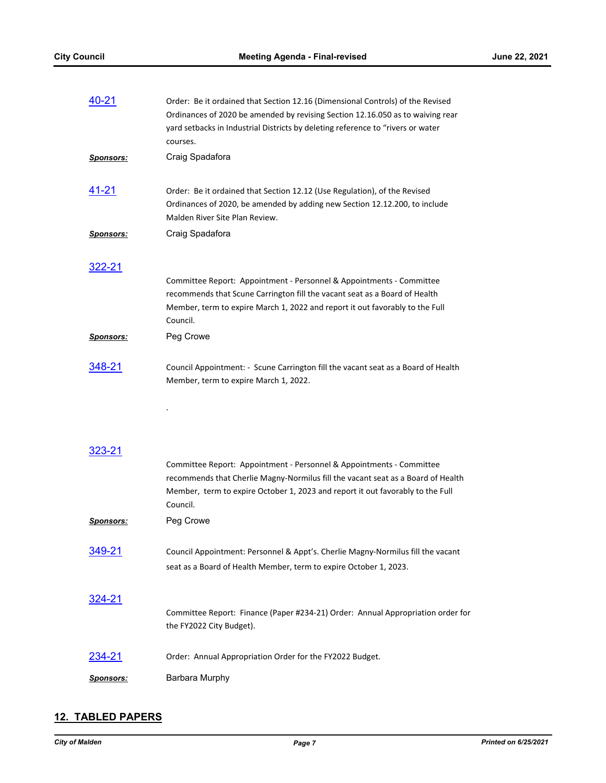| 40-21            | Order: Be it ordained that Section 12.16 (Dimensional Controls) of the Revised<br>Ordinances of 2020 be amended by revising Section 12.16.050 as to waiving rear<br>yard setbacks in Industrial Districts by deleting reference to "rivers or water<br>courses. |
|------------------|-----------------------------------------------------------------------------------------------------------------------------------------------------------------------------------------------------------------------------------------------------------------|
| <u>Sponsors:</u> | Craig Spadafora                                                                                                                                                                                                                                                 |
| 41-21            | Order: Be it ordained that Section 12.12 (Use Regulation), of the Revised<br>Ordinances of 2020, be amended by adding new Section 12.12.200, to include<br>Malden River Site Plan Review.                                                                       |
| <b>Sponsors:</b> | Craig Spadafora                                                                                                                                                                                                                                                 |
| 322-21           | Committee Report: Appointment - Personnel & Appointments - Committee<br>recommends that Scune Carrington fill the vacant seat as a Board of Health<br>Member, term to expire March 1, 2022 and report it out favorably to the Full<br>Council.                  |
| <u>Sponsors:</u> | Peg Crowe                                                                                                                                                                                                                                                       |
| 348-21           | Council Appointment: - Scune Carrington fill the vacant seat as a Board of Health<br>Member, term to expire March 1, 2022.                                                                                                                                      |
|                  | Committee Report: Appointment - Personnel & Appointments - Committee<br>recommends that Cherlie Magny-Normilus fill the vacant seat as a Board of Health<br>Member, term to expire October 1, 2023 and report it out favorably to the Full<br>Council.          |
| <b>Sponsors:</b> | Peg Crowe                                                                                                                                                                                                                                                       |
| 349-21           | Council Appointment: Personnel & Appt's. Cherlie Magny-Normilus fill the vacant<br>seat as a Board of Health Member, term to expire October 1, 2023.                                                                                                            |
| 324-21           | Committee Report: Finance (Paper #234-21) Order: Annual Appropriation order for<br>the FY2022 City Budget).                                                                                                                                                     |
| 234-21           | Order: Annual Appropriation Order for the FY2022 Budget.                                                                                                                                                                                                        |
| Sponsors:        | Barbara Murphy                                                                                                                                                                                                                                                  |

## **12. TABLED PAPERS**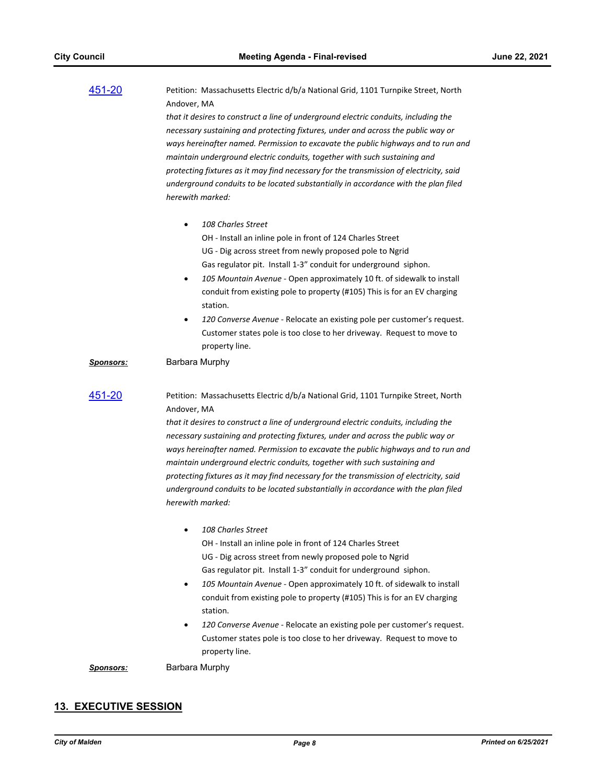| 451-20           | Petition: Massachusetts Electric d/b/a National Grid, 1101 Turnpike Street, North<br>Andover, MA |
|------------------|--------------------------------------------------------------------------------------------------|
|                  | that it desires to construct a line of underground electric conduits, including the              |
|                  | necessary sustaining and protecting fixtures, under and across the public way or                 |
|                  | ways hereinafter named. Permission to excavate the public highways and to run and                |
|                  | maintain underground electric conduits, together with such sustaining and                        |
|                  | protecting fixtures as it may find necessary for the transmission of electricity, said           |
|                  | underground conduits to be located substantially in accordance with the plan filed               |
|                  | herewith marked:                                                                                 |
|                  |                                                                                                  |
|                  | 108 Charles Street                                                                               |
|                  | OH - Install an inline pole in front of 124 Charles Street                                       |
|                  | UG - Dig across street from newly proposed pole to Ngrid                                         |
|                  | Gas regulator pit. Install 1-3" conduit for underground siphon.                                  |
|                  | 105 Mountain Avenue - Open approximately 10 ft. of sidewalk to install                           |
|                  | $\bullet$                                                                                        |
|                  | conduit from existing pole to property (#105) This is for an EV charging                         |
|                  | station.                                                                                         |
|                  | 120 Converse Avenue - Relocate an existing pole per customer's request.<br>٠                     |
|                  | Customer states pole is too close to her driveway. Request to move to                            |
|                  | property line.                                                                                   |
| <b>Sponsors:</b> | Barbara Murphy                                                                                   |
| 451-20           | Petition: Massachusetts Electric d/b/a National Grid, 1101 Turnpike Street, North                |
|                  | Andover, MA                                                                                      |
|                  | that it desires to construct a line of underground electric conduits, including the              |
|                  | necessary sustaining and protecting fixtures, under and across the public way or                 |
|                  | ways hereinafter named. Permission to excavate the public highways and to run and                |
|                  | maintain underground electric conduits, together with such sustaining and                        |
|                  | protecting fixtures as it may find necessary for the transmission of electricity, said           |
|                  | underground conduits to be located substantially in accordance with the plan filed               |
|                  | herewith marked:                                                                                 |
|                  |                                                                                                  |
|                  | 108 Charles Street                                                                               |
|                  | OH - Install an inline pole in front of 124 Charles Street                                       |
|                  | UG - Dig across street from newly proposed pole to Ngrid                                         |
|                  | Gas regulator pit. Install 1-3" conduit for underground siphon.                                  |
|                  | 105 Mountain Avenue - Open approximately 10 ft. of sidewalk to install<br>$\bullet$              |
|                  | conduit from existing pole to property (#105) This is for an EV charging                         |
|                  | station.                                                                                         |
|                  | 120 Converse Avenue - Relocate an existing pole per customer's request.                          |
|                  | Customer states pole is too close to her driveway. Request to move to                            |
|                  | property line.                                                                                   |
| <u>Sponsors:</u> | Barbara Murphy                                                                                   |

## **13. EXECUTIVE SESSION**